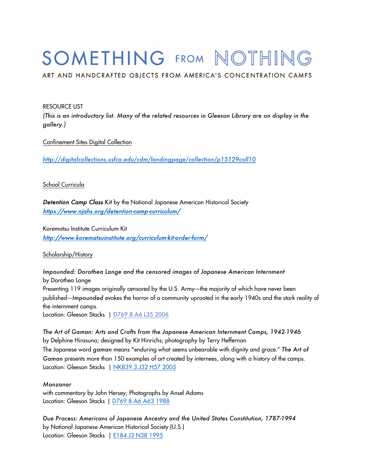# SOMETHING FROM NOTHING

ART AND HANDCRAFTED OBJECTS FROM AMERICA'S CONCENTRATION CAMPS

#### RESOURCE LIST

 *(This is an introductory list. Many of the related resources in Gleeson Library are on display in the gallery.)* 

Confinement Sites Digital Collection

*http://digitalcollections.usfca.edu/cdm/landingpage/collection/p15129coll10* 

#### School Curricula

 *Detention Camp Class Kit* by the National Japanese American Historical Society *https://www.njahs.org/detention-camp-curriculum/* 

 Korematsu Institute Curriculum Kit *http://www.korematsuinstitute.org/curriculum-kit-order-form/* 

Scholarship/History

 Presenting 119 images originally censored by the U.S. Army―the majority of which have never been published―*Impounded* evokes the horror of a community uprooted in the early 1940s and the stark reality of Location: Gleeson Stacks | D769.8.A6 L35 2006 *Impounded: Dorothea Lange and the censored images of Japanese American Internment*  by Dorothea Lange the internment camps.

 *The Art of Gaman: Arts and Crafts from the Japanese American Internment Camps, 1942-1946*  by Delphine Hirasuna; designed by Kit Hinrichs; photography by Terry Heffernan The Japanese word *gaman* means "enduring what seems unbearable with dignity and grace." *The Art of Gaman* presents more than 150 examples of art created by internees, along with a history of the camps. Location: Gleeson Stacks | <u>NK839.3.J32 H57 2005</u>

#### *Manzanar*

 with commentary by John Hersey; Photographs by Ansel Adams Location: Gleeson Stacks | <u>D769.8.A6 A63 1988</u>

 *Due Process: Americans of Japanese Ancestry and the United States Constitution, 1787-1994*  by National Japanese American Historical Society (U.S.) Location: Gleeson Stacks | <u>E184.J3 N38 1995</u>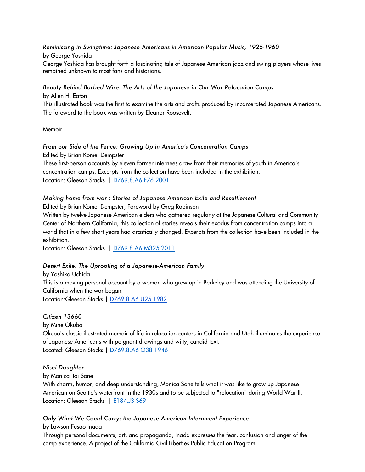*Reminiscing in Swingtime: Japanese Americans in American Popular Music, 1925-1960*  by George Yoshida George Yoshida has brought forth a fascinating tale of Japanese American jazz and swing players whose lives remained unknown to most fans and historians.

 *Beauty Behind Barbed Wire: The Arts of the Japanese in Our War Relocation Camps*  by Allen H. Eaton

 This illustrated book was the first to examine the arts and crafts produced by incarcerated Japanese Americans. The foreword to the book was written by Eleanor Roosevelt.

Memoir

 *From our Side of the Fence: Growing Up in America's Concentration Camps*  Edited by Brian Komei Dempster These first-person accounts by eleven former internees draw from their memories of youth in America's concentration camps. Excerpts from the collection have been included in the exhibition.

Location: Gleeson Stacks | D769.8.A6 F76 2001

### *Making home from war : Stories of Japanese American Exile and Resettlement*  Edited by Brian Komei Dempster; Foreword by Greg Robinson

 Written by twelve Japanese American elders who gathered regularly at the Japanese Cultural and Community Center of Northern California, this collection of stories reveals their exodus from concentration camps into a world that in a few short years had drastically changed. Excerpts from the collection have been included in the exhibition.

Location: Gleeson Stacks | D769.8.A6 M325 2011

### *Desert Exile: The Uprooting of a Japanese-American Family*

 This is a moving personal account by a woman who grew up in Berkeley and was attending the University of California when the war began. Location:Gleeson Stacks | D769.8.A6 U25 1982 by Yoshika Uchida

*Citizen 13660* 

by Mine Okubo

 Okubo's classic illustrated memoir of life in relocation centers in California and Utah illuminates the experience of Japanese Americans with poignant drawings and witty, candid text. Located: Gleeson Stacks | D769.8.A6 O38 1946

#### *Nisei Daughter*

by Monica Itoi Sone

 With charm, humor, and deep understanding, Monica Sone tells what it was like to grow up Japanese American on Seattle's waterfront in the 1930s and to be subjected to "relocation" during World War II. Location: Gleeson Stacks | <u>E184.J3 S69</u>

### *Only What We Could Carry: the Japanese American Internment Experience*

by Lawson Fusao Inada

 Through personal documents, art, and propaganda, Inada expresses the fear, confusion and anger of the camp experience. A project of the California Civil Liberties Public Education Program.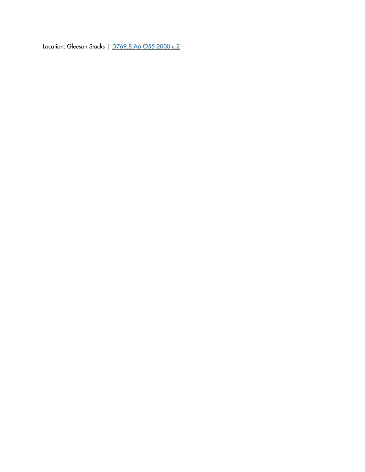Location: Gleeson Stacks | D769.8.A6 O55 2000 c.2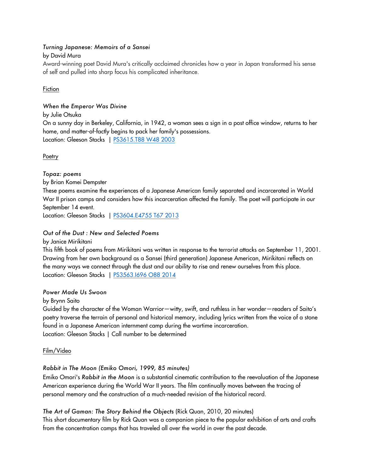## *Turning Japanese: Memoirs of a Sansei*

### by David Mura

 Award-winning poet David Mura's critically acclaimed chronicles how a year in Japan transformed his sense of self and pulled into sharp focus his complicated inheritance.

## Fiction

## *When the Emperor Was Divine*

by Julie Otsuka

 On a sunny day in Berkeley, California, in 1942, a woman sees a sign in a post office window, returns to her home, and matter-of-factly begins to pack her family's possessions. Location: Gleeson Stacks | <u>PS3615.T88 W48 2003</u>

**Poetry** 

 *Topaz: poems*  by Brian Komei Dempster These poems examine the experiences of a Japanese American family separated and incarcerated in World War II prison camps and considers how this incarceration affected the family. The poet will participate in our September 14 event. Location: Gleeson Stacks | PS3604.E4755 T67 2013

# *Out of the Dust : New and Selected Poems*

by Janice Mirikitani

 This fifth book of poems from Mirikitani was written in response to the terrorist attacks on September 11, 2001. Drawing from her own background as a Sansei (third generation) Japanese American, Mirikitani reflects on the many ways we connect through the dust and our ability to rise and renew ourselves from this place. Location: Gleeson Stacks | <u>PS3563.1696 O88 2014</u>

### *Power Made Us Swoon*

by Brynn Saito

 Guided by the character of the Woman Warrior—witty, swift, and ruthless in her wonder—readers of Saito's poetry traverse the terrain of personal and historical memory, including lyrics written from the voice of a stone Location: Gleeson Stacks | Call number to be determined found in a Japanese American internment camp during the wartime incarceration.

### Film/Video

# *Rabbit in The Moon (Emiko Omori, 1999, 85 minutes)*

 Emiko Omori's *Rabbit in the Moon* is a substantial cinematic contribution to the reevaluation of the Japanese American experience during the World War II years. The film continually moves between the tracing of personal memory and the construction of a much-needed revision of the historical record.

# *The Art of Gaman: The Story Behind the Objects* (Rick Quan, 2010, 20 minutes)

 This short documentary film by Rick Quan was a companion piece to the popular exhibition of arts and crafts from the concentration camps that has traveled all over the world in over the past decade.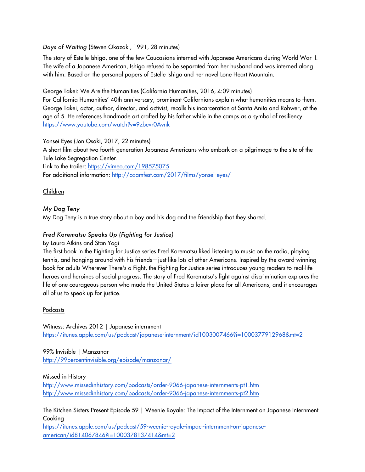*Days of Waiting* (Steven Okazaki, 1991, 28 minutes)

 The story of Estelle Ishigo, one of the few Caucasians interned with Japanese Americans during World War II. The wife of a Japanese American, Ishigo refused to be separated from her husband and was interned along with him. Based on the personal papers of Estelle Ishigo and her novel Lone Heart Mountain.

George Takei: We Are the Humanities (California Humanities, 2016, 4:09 minutes)

 For California Humanities' 40th anniversary, prominent Californians explain what humanities means to them. George Takei, actor, author, director, and activist, recalls his incarceration at Santa Anita and Rohwer, at the age of 5. He references handmade art crafted by his father while in the camps as a symbol of resiliency. https://www.youtube.com/watch?v=9zbevr0Avnk

Yonsei Eyes (Jon Osaki, 2017, 22 minutes)

 A short film about two fourth generation Japanese Americans who embark on a pilgrimage to the site of the Tule Lake Segregation Center.

Link to the trailer: <u>https://vimeo.com/198575075</u> For additional information: http://caamfest.com/2017/films/yonsei-eyes/

# Children

# *My Dog Teny*

My Dog Teny is a true story about a boy and his dog and the friendship that they shared.

# *Fred Korematsu Speaks Up (Fighting for Justice)*

By Laura Atkins and Stan Yogi

 The first book in the Fighting for Justice series Fred Korematsu liked listening to music on the radio, playing tennis, and hanging around with his friends—just like lots of other Americans. Inspired by the award-winning book for adults Wherever There's a Fight, the Fighting for Justice series introduces young readers to real-life heroes and heroines of social progress. The story of Fred Korematsu's fight against discrimination explores the life of one courageous person who made the United States a fairer place for all Americans, and it encourages all of us to speak up for justice.

# Podcasts

Witness: Archives 2012 | Japanese internment https://itunes.apple.com/us/podcast/japanese-internment/id1003007466?i=1000377912968&mt=2

99% Invisible | Manzanar http://99percentinvisible.org/episode/manzanar/

Missed in History

http://www.missedinhistory.com/podcasts/order-9066-japanese-internments-pt1.htm http://www.missedinhistory.com/podcasts/order-9066-japanese-internments-pt2.htm

 The Kitchen Sisters Present Episode 59 | Weenie Royale: The Impact of the Internment on Japanese Internment Cooking

https://itunes.apple.com/us/podcast/59-weenie-royale-impact-internment-on-japaneseamerican/id814067846?i=1000378137414&mt=2